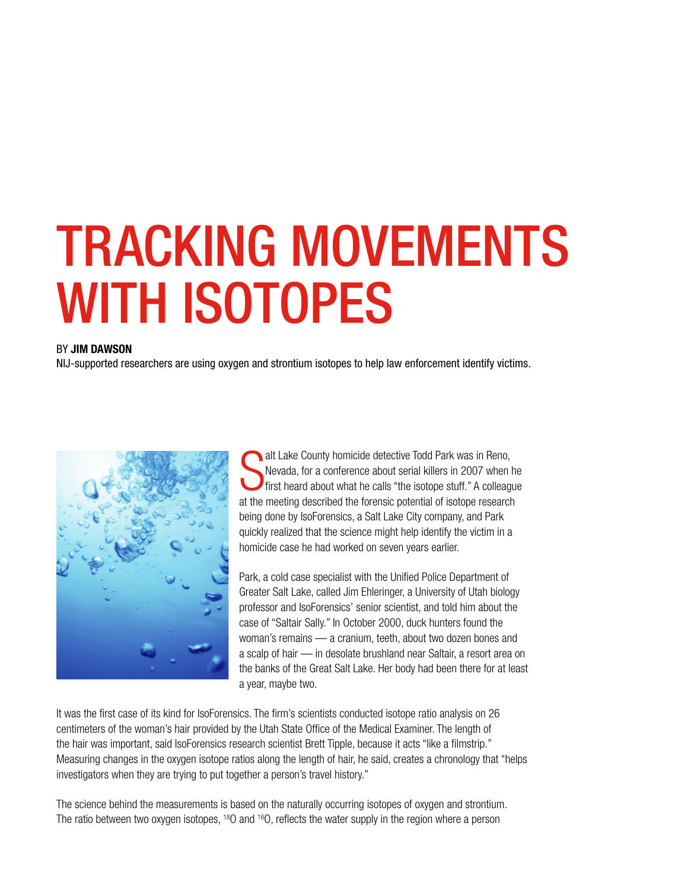# TRACKING MOVEMENTS WITH ISOTOPES

#### BY JIM DAWSON

NIJ-supported researchers are using oxygen and strontium isotopes to help law enforcement identify victims.



S alt Lake County homicide detective Todd Park was in Reno, Nevada, for a conference about serial killers in 2007 when he first heard about what he calls "the isotope stuff." A colleague at the meeting described the forensic potential of isotope research being done by IsoForensics, a Salt Lake City company, and Park quickly realized that the science might help identify the victim in a homicide case he had worked on seven years earlier.

Park, a cold case specialist with the Unified Police Department of Greater Salt Lake, called Jim Ehleringer, a University of Utah biology professor and IsoForensics' senior scientist, and told him about the case of "Saltair Sally." In October 2000, duck hunters found the woman's remains — a cranium, teeth, about two dozen bones and a scalp of hair — in desolate brushland near Saltair, a resort area on the banks of the Great Salt Lake. Her body had been there for at least a year, maybe two.

It was the first case of its kind for IsoForensics. The firm's scientists conducted isotope ratio analysis on 26 centimeters of the woman's hair provided by the Utah State Office of the Medical Examiner. The length of the hair was important, said IsoForensics research scientist Brett Tipple, because it acts "like a filmstrip." Measuring changes in the oxygen isotope ratios along the length of hair, he said, creates a chronology that "helps investigators when they are trying to put together a person's travel history."

The science behind the measurements is based on the naturally occurring isotopes of oxygen and strontium. The ratio between two oxygen isotopes, <sup>18</sup>O and <sup>16</sup>O, reflects the water supply in the region where a person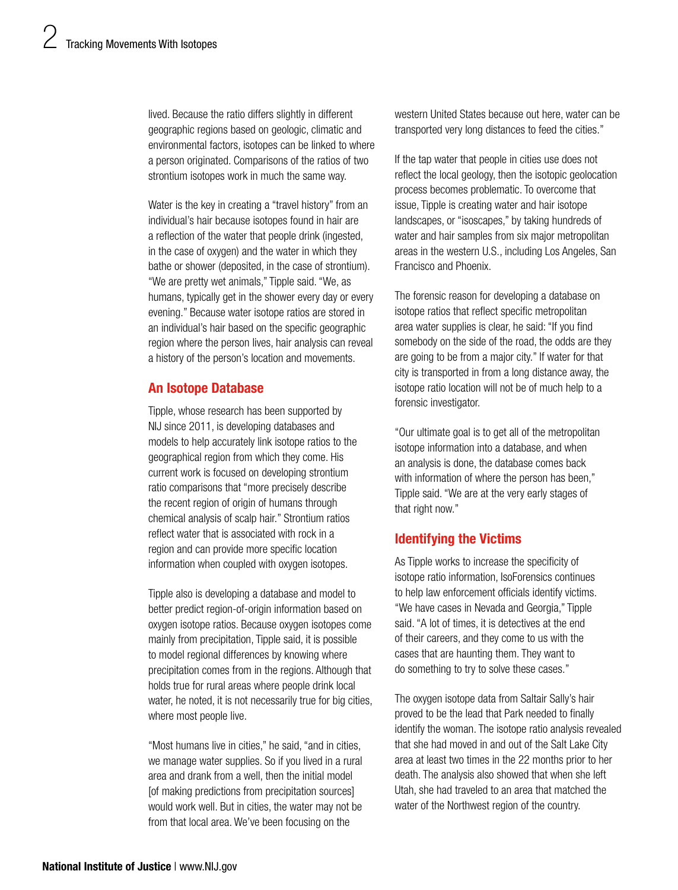lived. Because the ratio differs slightly in different geographic regions based on geologic, climatic and environmental factors, isotopes can be linked to where a person originated. Comparisons of the ratios of two strontium isotopes work in much the same way.

Water is the key in creating a "travel history" from an individual's hair because isotopes found in hair are a reflection of the water that people drink (ingested, in the case of oxygen) and the water in which they bathe or shower (deposited, in the case of strontium). "We are pretty wet animals," Tipple said. "We, as humans, typically get in the shower every day or every evening." Because water isotope ratios are stored in an individual's hair based on the specific geographic region where the person lives, hair analysis can reveal a history of the person's location and movements.

## An Isotope Database

Tipple, whose research has been supported by NIJ since 2011, is developing databases and models to help accurately link isotope ratios to the geographical region from which they come. His current work is focused on developing strontium ratio comparisons that "more precisely describe the recent region of origin of humans through chemical analysis of scalp hair." Strontium ratios reflect water that is associated with rock in a region and can provide more specific location information when coupled with oxygen isotopes.

Tipple also is developing a database and model to better predict region-of-origin information based on oxygen isotope ratios. Because oxygen isotopes come mainly from precipitation, Tipple said, it is possible to model regional differences by knowing where precipitation comes from in the regions. Although that holds true for rural areas where people drink local water, he noted, it is not necessarily true for big cities, where most people live.

"Most humans live in cities," he said, "and in cities, we manage water supplies. So if you lived in a rural area and drank from a well, then the initial model [of making predictions from precipitation sources] would work well. But in cities, the water may not be from that local area. We've been focusing on the

western United States because out here, water can be transported very long distances to feed the cities."

If the tap water that people in cities use does not reflect the local geology, then the isotopic geolocation process becomes problematic. To overcome that issue, Tipple is creating water and hair isotope landscapes, or "isoscapes," by taking hundreds of water and hair samples from six major metropolitan areas in the western U.S., including Los Angeles, San Francisco and Phoenix.

The forensic reason for developing a database on isotope ratios that reflect specific metropolitan area water supplies is clear, he said: "If you find somebody on the side of the road, the odds are they are going to be from a major city." If water for that city is transported in from a long distance away, the isotope ratio location will not be of much help to a forensic investigator.

"Our ultimate goal is to get all of the metropolitan isotope information into a database, and when an analysis is done, the database comes back with information of where the person has been," Tipple said. "We are at the very early stages of that right now."

# Identifying the Victims

As Tipple works to increase the specificity of isotope ratio information, IsoForensics continues to help law enforcement officials identify victims. "We have cases in Nevada and Georgia," Tipple said. "A lot of times, it is detectives at the end of their careers, and they come to us with the cases that are haunting them. They want to do something to try to solve these cases."

The oxygen isotope data from Saltair Sally's hair proved to be the lead that Park needed to finally identify the woman. The isotope ratio analysis revealed that she had moved in and out of the Salt Lake City area at least two times in the 22 months prior to her death. The analysis also showed that when she left Utah, she had traveled to an area that matched the water of the Northwest region of the country.